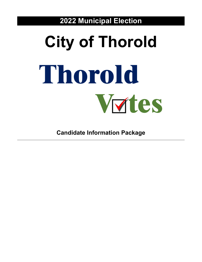**2022 Municipal Election**

# **City of Thorold** Thorold Vutes

**Candidate Information Package**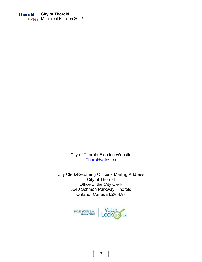City of Thorold Election Website [Thoroldvotes.ca](http://www.thoroldvotes.ca/)

City Clerk/Returning Officer's Mailing Address City of Thorold Office of the City Clerk 3540 Schmon Parkway, Thorold Ontario, Canada L2V 4A7

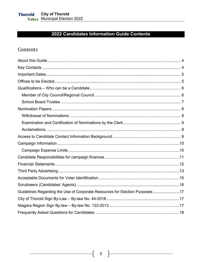# 2022 Candidates Information Guide Contents

## Contents

| Guidelines Regarding the Use of Corporate Resources for Election Purposes17 |  |
|-----------------------------------------------------------------------------|--|
|                                                                             |  |
|                                                                             |  |
|                                                                             |  |

 $\begin{bmatrix} 3 \end{bmatrix}$ 

 $\mathcal{L}$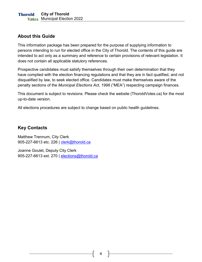## <span id="page-3-0"></span>**About this Guide**

This information package has been prepared for the purpose of supplying information to persons intending to run for elected office in the City of Thorold. The contents of this guide are intended to act only as a summary and reference to certain provisions of relevant legislation. It does not contain all applicable statutory references.

Prospective candidates must satisfy themselves through their own determination that they have complied with the election financing regulations and that they are in fact qualified, and not disqualified by law, to seek elected office. Candidates must make themselves aware of the penalty sections of the *Municipal Elections Act, 1996* ("MEA") respecting campaign finances.

This document is subject to revisions. Please check the website (ThoroldVotes.ca) for the most up-to-date version.

All elections procedures are subject to change based on public health guidelines.

## <span id="page-3-1"></span>**Key Contacts**

Matthew Trennum, City Clerk 905-227-6613 etc. 226 | [clerk@thorold.ca](mailto:clerk@thorold.ca)

Joanne Goulet, Deputy City Clerk 905-227-6613 ext. 270 | [elections@thorold.ca](mailto:elections@thorold.ca)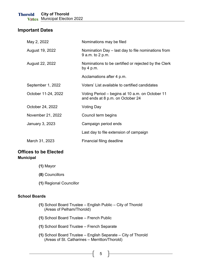## <span id="page-4-0"></span>**Important Dates**

| May 2, 2022         | Nominations may be filed                                                            |  |  |
|---------------------|-------------------------------------------------------------------------------------|--|--|
| August 19, 2022     | Nomination Day – last day to file nominations from<br>9 a.m. to 2 p.m.              |  |  |
| August 22, 2022     | Nominations to be certified or rejected by the Clerk<br>by 4 p.m.                   |  |  |
|                     | Acclamations after 4 p.m.                                                           |  |  |
| September 1, 2022   | Voters' List available to certified candidates                                      |  |  |
| October 11-24, 2022 | Voting Period – begins at 10 a.m. on October 11<br>and ends at 8 p.m. on October 24 |  |  |
| October 24, 2022    | <b>Voting Day</b>                                                                   |  |  |
| November 21, 2022   | Council term begins                                                                 |  |  |
| January 3, 2023     | Campaign period ends                                                                |  |  |
|                     | Last day to file extension of campaign                                              |  |  |
| March 31, 2023      | Financial filing deadline                                                           |  |  |

## <span id="page-4-1"></span>**Offices to be Elected Municipal**

- **(1)** Mayor
- **(8)** Councillors
- **(1)** Regional Councillor

#### **School Boards**

- **(1)** School Board Trustee English Public City of Thorold (Areas of Pelham/Thorold)
- **(1)** School Board Trustee French Public
- **(1)** School Board Trustee French Separate
- **(1)** School Board Trustee English Separate City of Thorold (Areas of St. Catharines – Merritton/Thorold)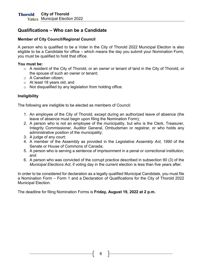## <span id="page-5-0"></span>**Qualifications – Who can be a Candidate**

#### <span id="page-5-1"></span>**Member of City Council/Regional Council**

A person who is qualified to be a Voter in the City of Thorold 2022 Municipal Election is also eligible to be a Candidate for office – which means the day you submit your Nomination Form, you must be qualified to hold that office.

#### **You must be:**

- o A resident of the City of Thorold, or an owner or tenant of land in the City of Thorold, or the spouse of such an owner or tenant;
- o A Canadian citizen;
- o At least 18 years old; and
- $\circ$  Not disqualified by any legislation from holding office.

### **Ineligibility**

The following are ineligible to be elected as members of Council:

- 1. An employee of the City of Thorold, except during an authorized leave of absence (the leave of absence must begin upon filing the Nomination Form);
- 2. A person who is not an employee of the municipality, but who is the Clerk, Treasurer, Integrity Commissioner, Auditor General, Ombudsman or registrar, or who holds any administrative position of the municipality;
- 3. A judge of any court;
- 4. A member of the Assembly as provided in the *Legislative Assembly Act, 1990* of the Senate or House of Commons of Canada;
- 5. A person who is serving a sentence of imprisonment in a penal or correctional institution; and
- 6. A person who was convicted of the corrupt practice described in subsection 90 (3) of the *Municipal Elections Act*, if voting day in the current election is less than five years after.

In order to be considered for declaration as a legally qualified Municipal Candidate, you must file a Nomination Form – Form 1 and a Declaration of Qualifications for the City of Thorold 2022 Municipal Election.

The deadline for filing Nomination Forms is **Friday, August 19, 2022 at 2 p.m.**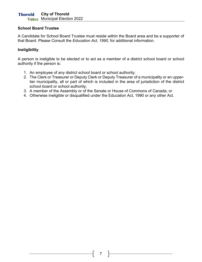#### **City of Thorold Thorold Vxtes** Municipal Election 2022

#### <span id="page-6-0"></span>**School Board Trustee**

A Candidate for School Board Trustee must reside within the Board area and be a supporter of that Board. Please Consult the *Education Act, 1990,* for additional information.

#### **Ineligibility**

A person is ineligible to be elected or to act as a member of a district school board or school authority if the person is:

- 1. An employee of any district school board or school authority;
- 2. The Clerk or Treasurer or Deputy Clerk or Deputy Treasurer of a municipality or an uppertier municipality, all or part of which is included in the area of jurisdiction of the district school board or school authority;
- 3. A member of the Assembly or of the Senate or House of Commons of Canada; or
- 4. Otherwise ineligible or disqualified under the Education Act, 1990 or any other Act.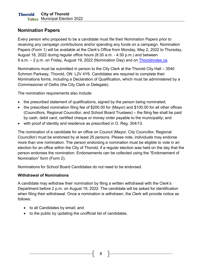## <span id="page-7-0"></span>**Nomination Papers**

Every person who proposed to be a candidate must file their Nomination Papers prior to receiving any campaign contributions and/or spending any funds on a campaign. Nomination Papers (Form 1) will be available at the Clerk's Office from Monday, May 2, 2022 to Thursday, August 18, 2022 during regular office hours (8:30 a.m. - 4:30 p.m.) and between 9 a.m. – 2 p.m. on Friday, August 19, 2022 (Nomination Day) and on [Thoroldvotes.ca.](http://www.thoroldvotes.ca/)

Nominations must be submitted in person to the City Clerk at the Thorold City Hall – 3540 Schmon Parkway, Thorold, ON L2V 4Y6. Candidates are required to complete their Nominations forms, including a Declaration of Qualification, which must be administered by a Commissioner of Oaths (the City Clerk or Delegate).

The nomination requirements also include:

- the prescribed statement of qualifications, signed by the person being nominated;
- the prescribed nomination filing fee of \$200.00 for (Mayor) and \$100.00 for all other offices (Councillors, Regional Councillor, and School Board Trustees) – the filing fee shall be paid by cash, debit card, certified cheque or money order payable to the municipality; and
- with proof of identity and residence as prescribed in O. Reg. 304/13.

The nomination of a candidate for an office on Council (Mayor, City Councillor, Regional Councillor) must be endorsed by at least 25 persons. Please note, individuals may endorse more than one nomination. The person endorsing a nomination must be eligible to vote in an election for an office within the City of Thorold, if a regular election was held on the day that the person endorses the nomination. Endorsements can be collected using the "Endorsement of Nomination" form (Form 2).

Nominations for School Board Candidates do not need to be endorsed.

#### <span id="page-7-1"></span>**Withdrawal of Nominations**

A candidate may withdraw their nomination by filing a written withdrawal with the Clerk's Department before 2 p.m. on August 19, 2022. The candidate will be asked for identification when filing their withdrawal. Once a nomination is withdrawn, the Clerk will provide notice as follows:

- to all Candidates by email; and
- to the public by updating the unofficial list of candidates.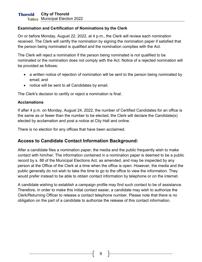## <span id="page-8-0"></span>**Examination and Certification of Nominations by the Clerk**

On or before Monday, August 22, 2022, at 4 p.m., the Clerk will review each nomination received. The Clerk will certify the nomination by signing the nomination paper if satisfied that the person being nominated is qualified and the nomination complies with the Act.

The Clerk will reject a nomination if the person being nominated is not qualified to be nominated or the nomination does not comply with the Act. Notice of a rejected nomination will be provided as follows:

- a written notice of rejection of nomination will be sent to the person being nominated by email; and
- notice will be sent to all Candidates by email.

The Clerk's decision to certify or reject a nomination is final.

## <span id="page-8-1"></span>**Acclamations**

If after 4 p.m. on Monday, August 24, 2022, the number of Certified Candidates for an office is the same as or fewer than the number to be elected, the Clerk will declare the Candidate(s) elected by acclamation and post a notice at City Hall and online.

There is no election for any offices that have been acclaimed.

## <span id="page-8-2"></span>**Access to Candidate Contact Information Background:**

After a candidate files a nomination paper, the media and the public frequently wish to make contact with him/her. The information contained in a nomination paper is deemed to be a public record by s. 88 of the Municipal Elections Act, as amended, and may be inspected by any person at the Office of the Clerk at a time when the office is open. However, the media and the public generally do not wish to take the time to go to the office to view the information. They would prefer instead to be able to obtain contact information by telephone or on the internet.

A candidate wishing to establish a campaign profile may find such contact to be of assistance. Therefore, in order to make this initial contact easier, a candidate may wish to authorize the Clerk/Returning Officer to release a contact telephone number. Please note that there is no obligation on the part of a candidate to authorize the release of this contact information.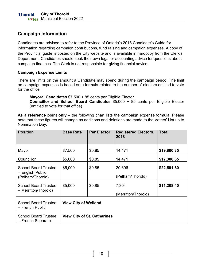## <span id="page-9-0"></span>**Campaign Information**

Candidates are advised to refer to the Province of Ontario's 2018 Candidate's Guide for information regarding campaign contributions, fund raising and campaign expenses. A copy of the Provincial guide is posted on the City website and is available in hardcopy from the Clerk's Department. Candidates should seek their own legal or accounting advice for questions about campaign finances. The Clerk is not responsible for giving financial advice.

## <span id="page-9-1"></span>**Campaign Expense Limits**

There are limits on the amount a Candidate may spend during the campaign period. The limit on campaign expenses is based on a formula related to the number of electors entitled to vote for the office:

**Mayoral Candidates** \$7,500 + 85 cents per Eligible Elector

**Councillor and School Board Candidates** \$5,000 + 85 cents per Eligible Elector (entitled to vote for that office)

As a reference point only – the following chart lists the campaign expense formula. Please note that these figures will change as additions and deletions are made to the Voters' List up to Nomination Day.

| <b>Position</b>                                                     | <b>Base Rate</b>                   | <b>Per Elector</b> | <b>Registered Electors,</b><br>2018 | <b>Total</b> |  |
|---------------------------------------------------------------------|------------------------------------|--------------------|-------------------------------------|--------------|--|
| Mayor                                                               | \$7,500                            | \$0.85             | 14,471                              | \$19,800.35  |  |
| Councillor                                                          | \$5,000                            | \$0.85             | 14,471                              | \$17,300.35  |  |
| <b>School Board Trustee</b><br>– English Public<br>(Pelham/Thorold) | \$5,000                            | \$0.85             | 20,696<br>(Pelham/Thorold)          | \$22,591.60  |  |
| <b>School Board Trustee</b><br>- Merritton/Thorold)                 | \$5,000                            | \$0.85             | 7,304<br>(Merritton/Thorold)        | \$11,208.40  |  |
| <b>School Board Trustee</b><br>- French Public                      | <b>View City of Welland</b>        |                    |                                     |              |  |
| <b>School Board Trustee</b><br>- French Separate                    | <b>View City of St. Catharines</b> |                    |                                     |              |  |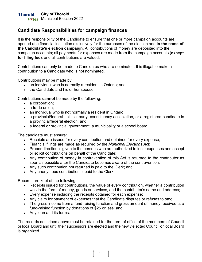## <span id="page-10-0"></span>**Candidate Responsibilities for campaign finances**

It is the responsibility of the Candidate to ensure that one or more campaign accounts are opened at a financial institution exclusively for the purposes of the election and **in the name of the Candidate's election campaign**. All contributions of money are deposited into the campaign accounts; all payments for expenses are made from the campaign accounts (**except for filing fee**); and all contributions are valued.

Contributions can only be made to Candidates who are nominated. It is illegal to make a contribution to a Candidate who is not nominated.

Contributions may be made by:

- an individual who is normally a resident in Ontario; and
- the Candidate and his or her spouse.

Contributions **cannot** be made by the following:

- a corporation;
- a trade union;
- an individual who is not normally a resident in Ontario;
- a provincial/federal political party, constituency association, or a registered candidate in a provincial/federal election; and
- a federal or provincial government, a municipality or a school board.

The candidate must ensure:

- Receipts are issued for every contribution and obtained for every expense;
- Financial filings are made as required by the *Municipal Elections Act*;
- Proper direction is given to the persons who are authorized to incur expenses and accept or solicit contributions on behalf of the Candidate;
- Any contribution of money in contravention of this Act is returned to the contributor as soon as possible after the Candidate becomes aware of the contravention;
- Any such contribution not returned is paid to the Clerk; and
- Any anonymous contribution is paid to the Clerk.

Records are kept of the following:

- Receipts issued for contributions, the value of every contribution, whether a contribution was in the form of money, goods or services, and the contributor's name and address;
- Every expense including the receipts obtained for each expense;
- Any claim for payment of expenses that the Candidate disputes or refuses to pay;
- The gross income from a fund-raising function and gross amount of money received at a fund-raising function by donations of \$25 or less; and
- Any loan and its terms.

The records described above must be retained for the term of office of the members of Council or local Board and until their successors are elected and the newly elected Council or local Board is organized.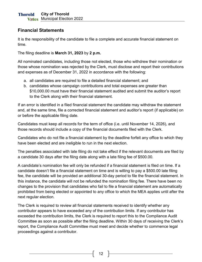## <span id="page-11-0"></span>**Financial Statements**

It is the responsibility of the candidate to file a complete and accurate financial statement on time.

The filing deadline is **March 31, 2023** by **2 p.m.**

All nominated candidates, including those not elected, those who withdrew their nomination or those whose nomination was rejected by the Clerk, must disclose and report their contributions and expenses as of December 31, 2022 in accordance with the following:

- a. all candidates are required to file a detailed financial statement; and
- b. candidates whose campaign contributions and total expenses are greater than \$10,000.00 must have their financial statement audited and submit the auditor's report to the Clerk along with their financial statement.

If an error is identified in a filed financial statement the candidate may withdraw the statement and, at the same time, file a corrected financial statement and auditor's report (if applicable) on or before the applicable filing date.

Candidates must keep all records for the term of office (i.e. until November 14, 2026), and those records should include a copy of the financial documents filed with the Clerk.

Candidates who do not file a financial statement by the deadline forfeit any office to which they have been elected and are ineligible to run in the next election.

The penalties associated with late filing do not take effect if the relevant documents are filed by a candidate 30 days after the filing date along with a late filing fee of \$500.00.

A candidate's nomination fee will only be refunded if a financial statement is filed on time. If a candidate doesn't file a financial statement on time and is willing to pay a \$500.00 late filing fee, the candidate will be provided an additional 30-day period to file the financial statement. In this instance, the candidate will not be refunded the nomination filing fee. There have been no changes to the provision that candidates who fail to file a financial statement are automatically prohibited from being elected or appointed to any office to which the MEA applies until after the next regular election.

The Clerk is required to review all financial statements received to identify whether any contributor appears to have exceeded any of the contribution limits. If any contributor has exceeded the contribution limits, the Clerk is required to report this to the Compliance Audit Committee as soon as possible after the filing deadline. Within 30 days of receiving the Clerk's report, the Compliance Audit Committee must meet and decide whether to commence legal proceedings against a contributor.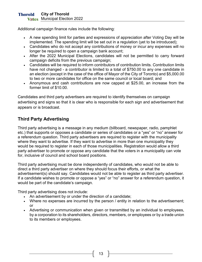#### **City of Thorold Thorold Vxtes** Municipal Election 2022

Additional campaign finance rules include the following:

- A new spending limit for parties and expressions of appreciation after Voting Day will be implemented. The spending limit will be set out in a regulation (yet to be introduced);
- Candidates who do not accept any contributions of money or incur any expenses will no longer be required to open a campaign bank account;
- After the 2022 Municipal Elections, candidates will not be permitted to carry forward campaign deficits from the previous campaign;
- Candidates will be required to inform contributors of contribution limits. Contribution limits have not changed - a contributor is limited to a total of \$750.00 to any one candidate in an election (except in the case of the office of Mayor of the City of Toronto) and \$5,000.00 to two or more candidates for office on the same council or local board; and
- Anonymous and cash contributions are now capped at \$25.00, an increase from the former limit of \$10.00.

Candidates and third party advertisers are required to identify themselves on campaign advertising and signs so that it is clear who is responsible for each sign and advertisement that appears or is broadcast.

## <span id="page-12-0"></span>**Third Party Advertising**

Third party advertising is a message in any medium (billboard, newspaper, radio, pamphlet etc.) that supports or opposes a candidate or series of candidates or a "yes" or "no" answer for a referendum question. Third party advertisers are required to register with the municipality where they want to advertise. If they want to advertise in more than one municipality they would be required to register in each of those municipalities. Registration would allow a third party advertiser to promote or oppose any candidate that the voters in a municipality can vote for, inclusive of council and school board positions.

Third party advertising must be done independently of candidates, who would not be able to direct a third party advertiser on where they should focus their efforts, or what the advertisement(s) should say. Candidates would not be able to register as third party advertiser. If a candidate wishes to promote or oppose a "yes" or "no" answer for a referendum question, it would be part of the candidate's campaign.

Third party advertising does not include:

- An advertisement by or under the direction of a candidate;
- Where no expenses are incurred by the person / entity in relation to the advertisement; or
- Advertising or communication when given or transmitted by an individual to employees, by a corporation to its shareholders, directors, members, or employees or by a trade union to its members or employees.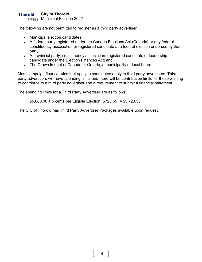The following are not permitted to register as a third party advertiser:

- Municipal election candidates;
- A federal party registered under the Canada Elections Act (Canada) or any federal constituency association or registered candidate at a federal election endorsed by that party;
- A provincial party, constituency association, registered candidate or leadership candidate under the Election Finances Act; and
- The Crown in right of Canada or Ontario, a municipality or local board.

Most campaign finance rules that apply to candidates apply to third party advertisers. Third party advertisers will have spending limits and there will be contribution limits for those wishing to contribute to a third party advertiser and a requirement to submit a financial statement.

The spending limits for a Third Party Advertiser are as follows:

\$5,000.00 + 5 cents per Eligible Election (\$723.55) = \$5,723.55

The City of Thorold has Third Party Advertiser Packages available upon request.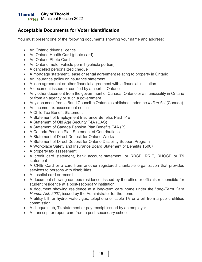## <span id="page-14-0"></span>**Acceptable Documents for Voter Identification**

You must present one of the following documents showing your name and address:

- An Ontario driver's licence
- An Ontario Health Card (photo card)
- An Ontario Photo Card
- An Ontario motor vehicle permit (vehicle portion)
- A cancelled personalized cheque
- A mortgage statement, lease or rental agreement relating to property in Ontario
- An insurance policy or insurance statement
- A loan agreement or other financial agreement with a financial institution
- A document issued or certified by a court in Ontario
- Any other document from the government of Canada, Ontario or a municipality in Ontario or from an agency or such a government
- Any document from a Band Council in Ontario established under the *Indian Act* (Canada)
- An income tax assessment notice
- A Child Tax Benefit Statement
- A Statement of Employment Insurance Benefits Paid T4E
- A Statement of Old Age Security T4A (OAS)
- A Statement of Canada Pension Plan Benefits T4A (P)
- A Canada Pension Plan Statement of Contributions
- A Statement of Direct Deposit for Ontario Works
- A Statement of Direct Deposit for Ontario Disability Support Program
- A Workplace Safety and Insurance Board Statement of Benefits T5007
- A property tax assessment
- A credit card statement, bank account statement, or RRSP, RRIF, RHOSP or T5 statement
- A CNIB Card or a card from another registered charitable organization that provides services to persons with disabilities
- A hospital card or record
- A document showing campus residence, issued by the office or officials responsible for student residence at a post-secondary institution
- A document showing residence at a long-term care home under the *Long-Term Care Homes Act, 2007*, issued by the Administrator for the home
- A utility bill for hydro, water, gas, telephone or cable TV or a bill from a public utilities commission
- A cheque stub, T4 statement or pay receipt issued by an employer
- A transcript or report card from a post-secondary school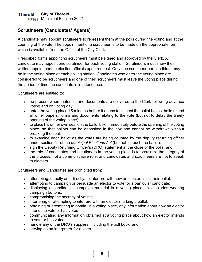## <span id="page-15-0"></span>**Scrutineers (Candidates' Agents)**

A candidate may appoint scrutineers to represent them at the polls during the voting and at the counting of the vote. The appointment of a scrutineer is to be made on the appropriate form which is available from the Office of the City Clerk.

Prescribed forms appointing scrutineers must be signed and approved by the Clerk. A candidate may appoint one scrutineer for each voting station. Scrutineers must show their written appointment to election officials upon request. Only one scrutineer per candidate may be in the voting place at each polling station. Candidates who enter the voting place are considered to be scrutineers and one of their scrutineers must leave the voting place during the period of time the candidate is in attendance.

Scrutineers are entitled to:

- be present when materials and documents are delivered to the Clerk following advance voting and on voting day;
- enter the voting place 15 minutes before it opens to inspect the ballot boxes, ballots, and all other papers, forms and documents relating to the vote (but not to delay the timely opening of the voting place);
- to place his or her own seal on the ballot box, immediately before the opening of the voting place, so that ballots can be deposited in the box and cannot be withdrawn without breaking the seal;
- to examine each ballot as the votes are being counted by the deputy returning officer under section 54 of the *Municipal Elections Act* (but not to touch the ballot);
- sign the Deputy Returning Officer's (DRO) statement at the close of the polls; and
- the role of candidates and scrutineers in the voting place is to scrutinize the integrity of the process, not a communicative role, and candidates and scrutineers are not to speak to electors.

Scrutineers and Candidates are prohibited from:

- attempting, directly or indirectly, to interfere with how an elector casts their ballot;
- attempting to campaign or persuade an elector to vote for a particular candidate;
- displaying a candidate's campaign material in a voting place; this includes wearing campaign buttons;
- compromising the secrecy of voting;
- interfering or attempting to interfere with an elector marking a ballot;
- obtaining or attempting to obtain, in a voting place, any information about how an elector intends to vote or has voted;
- communicating any information obtained at a voting place about how an elector intends to vote or has voted;
- handle any of the DRO's supplies, including the poll book; and
- serving as an interpreter for a voter.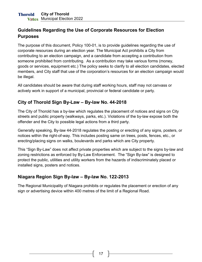## <span id="page-16-0"></span>**Guidelines Regarding the Use of Corporate Resources for Election Purposes**

The purpose of this document, Policy 100-01, is to provide guidelines regarding the use of corporate resources during an election year. The Municipal Act prohibits a City from contributing to an election campaign, and a candidate from accepting a contribution from someone prohibited from contributing. As a contribution may take various forms (money, goods or services, equipment etc.) The policy seeks to clarify to all election candidates, elected members, and City staff that use of the corporation's resources for an election campaign would be illegal.

All candidates should be aware that during staff working hours, staff may not canvass or actively work in support of a municipal, provincial or federal candidate or party.

## <span id="page-16-1"></span>**City of Thorold Sign By-Law – By-law No. 44-2018**

The City of Thorold has a by-law which regulates the placement of notices and signs on City streets and public property (walkways, parks, etc.). Violations of the by-law expose both the offender and the City to possible legal actions from a third party.

Generally speaking, By-law 44-2018 regulates the posting or erecting of any signs, posters, or notices within the right-of-way. This includes posting same on trees, posts, fences, etc., or erecting/placing signs on walks, boulevards and parks which are City property.

This "Sign By-Law" does not affect private properties which are subject to the signs by-law and zoning restrictions as enforced by By-Law Enforcement. The "Sign By-law" is designed to protect the public, utilities and utility workers from the hazards of indiscriminately placed or installed signs, posters and notices.

## <span id="page-16-2"></span>**Niagara Region Sign By-law – By-law No. 122-2013**

The Regional Municipality of Niagara prohibits or regulates the placement or erection of any sign or advertising device within 400 metres of the limit of a Regional Road.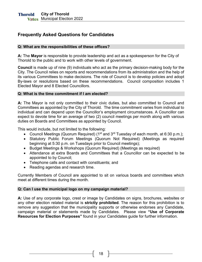## <span id="page-17-0"></span>**Frequently Asked Questions for Candidates**

#### **Q: What are the responsibilities of these offices?**

**A:** The **Mayor** is responsible to provide leadership and act as a spokesperson for the City of Thorold to the public and to work with other levels of government.

**Council** is made up of nine (9) individuals who act as the primary decision-making body for the City. The Council relies on reports and recommendations from its administration and the help of its various Committees to make decisions. The role of Council is to develop policies and adopt By-laws or resolutions based on these recommendations. Council composition includes 1 Elected Mayor and 8 Elected Councillors.

#### **Q: What is the time commitment if I am elected?**

**A:** The Mayor is not only committed to their civic duties, but also committed to Council and Committees as appointed by the City of Thorold. The time commitment varies from individual to individual and can depend upon the Councillor's employment circumstances. A Councillor can expect to devote time for an average of two (2) council meetings per month along with various duties on Boards and Committees as appointed by Council.

This would include, but not limited to the following:

- Council Meetings (Quorum Required) (1<sup>st</sup> and 3<sup>rd</sup> Tuesday of each month, at 6:30 p.m.);
- Statutory Public Forum Meetings (Quorum Not Required) (Meetings as required beginning at 5:30 p.m. on Tuesdays prior to Council meetings);
- Budget Meetings & Workshops (Quorum Required) (Meetings as required)
- Attendance at extra Boards and Committees that a Councillor can be expected to be appointed to by Council;
- Telephone calls and contact with constituents; and
- Reading agendas and research time.

Currently Members of Council are appointed to sit on various boards and committees which meet at different times during the month.

#### **Q: Can I use the municipal logo on my campaign material?**

**A:** Use of any corporate logo, crest or image by Candidates on signs, brochures, websites or any other election related material is **strictly prohibited**. The reason for this prohibition is to remove any suggestion that the municipality supports or otherwise endorses any Candidate, campaign material or statements made by Candidates. Please view **"Use of Corporate Resources for Election Purposes"** found in your Candidates guide for further information.